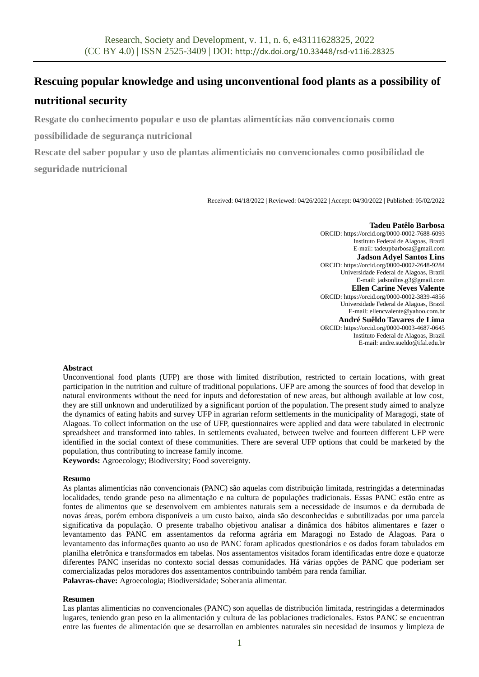# **Rescuing popular knowledge and using unconventional food plants as a possibility of nutritional security**

**Resgate do conhecimento popular e uso de plantas alimentícias não convencionais como** 

**possibilidade de segurança nutricional**

**Rescate del saber popular y uso de plantas alimenticiais no convencionales como posibilidad de seguridade nutricional**

Received: 04/18/2022 | Reviewed: 04/26/2022 | Accept: 04/30/2022 | Published: 05/02/2022

#### **Tadeu Patêlo Barbosa**

ORCID[: https://orcid.org/0000-0002-7688-6093](https://orcid.org/0000-0002-7688-6093) Instituto Federal de Alagoas, Brazil E-mail: tadeupbarbosa@gmail.com **Jadson Adyel Santos Lins** ORCID[: https://orcid.org/0000-0002-2648-9284](https://orcid.org/0000-0002-2648-9284) Universidade Federal de Alagoas, Brazil E-mail: jadsonlins.g3@gmail.com **Ellen Carine Neves Valente** ORCID[: https://orcid.org/0000-0002-3839-4856](https://orcid.org/0000-0002-3839-4856) Universidade Federal de Alagoas, Brazil E-mail: ellencvalente@yahoo.com.br **André Suêldo Tavares de Lima** ORCID: https://orcid.org/0000-0003-4687-0645 Instituto Federal de Alagoas, Brazil E-mail: andre.sueldo@ifal.edu.br

#### **Abstract**

Unconventional food plants (UFP) are those with limited distribution, restricted to certain locations, with great participation in the nutrition and culture of traditional populations. UFP are among the sources of food that develop in natural environments without the need for inputs and deforestation of new areas, but although available at low cost, they are still unknown and underutilized by a significant portion of the population. The present study aimed to analyze the dynamics of eating habits and survey UFP in agrarian reform settlements in the municipality of Maragogi, state of Alagoas. To collect information on the use of UFP, questionnaires were applied and data were tabulated in electronic spreadsheet and transformed into tables. In settlements evaluated, between twelve and fourteen different UFP were identified in the social context of these communities. There are several UFP options that could be marketed by the population, thus contributing to increase family income.

**Keywords:** Agroecology; Biodiversity; Food sovereignty.

#### **Resumo**

As plantas alimentícias não convencionais (PANC) são aquelas com distribuição limitada, restringidas a determinadas localidades, tendo grande peso na alimentação e na cultura de populações tradicionais. Essas PANC estão entre as fontes de alimentos que se desenvolvem em ambientes naturais sem a necessidade de insumos e da derrubada de novas áreas, porém embora disponíveis a um custo baixo, ainda são desconhecidas e subutilizadas por uma parcela significativa da população. O presente trabalho objetivou analisar a dinâmica dos hábitos alimentares e fazer o levantamento das PANC em assentamentos da reforma agrária em Maragogi no Estado de Alagoas. Para o levantamento das informações quanto ao uso de PANC foram aplicados questionários e os dados foram tabulados em planilha eletrônica e transformados em tabelas. Nos assentamentos visitados foram identificadas entre doze e quatorze diferentes PANC inseridas no contexto social dessas comunidades. Há várias opções de PANC que poderiam ser comercializadas pelos moradores dos assentamentos contribuindo também para renda familiar.

**Palavras-chave:** Agroecologia; Biodiversidade; Soberania alimentar.

#### **Resumen**

Las plantas alimenticias no convencionales (PANC) son aquellas de distribución limitada, restringidas a determinados lugares, teniendo gran peso en la alimentación y cultura de las poblaciones tradicionales. Estos PANC se encuentran entre las fuentes de alimentación que se desarrollan en ambientes naturales sin necesidad de insumos y limpieza de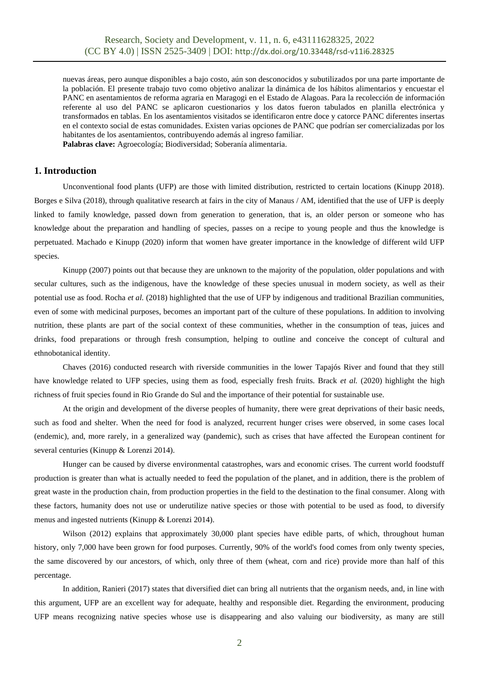nuevas áreas, pero aunque disponibles a bajo costo, aún son desconocidos y subutilizados por una parte importante de la población. El presente trabajo tuvo como objetivo analizar la dinámica de los hábitos alimentarios y encuestar el PANC en asentamientos de reforma agraria en Maragogi en el Estado de Alagoas. Para la recolección de información referente al uso del PANC se aplicaron cuestionarios y los datos fueron tabulados en planilla electrónica y transformados en tablas. En los asentamientos visitados se identificaron entre doce y catorce PANC diferentes insertas en el contexto social de estas comunidades. Existen varias opciones de PANC que podrían ser comercializadas por los habitantes de los asentamientos, contribuyendo además al ingreso familiar. **Palabras clave:** Agroecología; Biodiversidad; Soberanía alimentaria.

## **1. Introduction**

Unconventional food plants (UFP) are those with limited distribution, restricted to certain locations (Kinupp 2018). Borges e Silva (2018), through qualitative research at fairs in the city of Manaus / AM, identified that the use of UFP is deeply linked to family knowledge, passed down from generation to generation, that is, an older person or someone who has knowledge about the preparation and handling of species, passes on a recipe to young people and thus the knowledge is perpetuated. Machado e Kinupp (2020) inform that women have greater importance in the knowledge of different wild UFP species.

Kinupp (2007) points out that because they are unknown to the majority of the population, older populations and with secular cultures, such as the indigenous, have the knowledge of these species unusual in modern society, as well as their potential use as food. Rocha *et al.* (2018) highlighted that the use of UFP by indigenous and traditional Brazilian communities, even of some with medicinal purposes, becomes an important part of the culture of these populations. In addition to involving nutrition, these plants are part of the social context of these communities, whether in the consumption of teas, juices and drinks, food preparations or through fresh consumption, helping to outline and conceive the concept of cultural and ethnobotanical identity.

Chaves (2016) conducted research with riverside communities in the lower Tapajós River and found that they still have knowledge related to UFP species, using them as food, especially fresh fruits. Brack *et al.* (2020) highlight the high richness of fruit species found in Rio Grande do Sul and the importance of their potential for sustainable use.

At the origin and development of the diverse peoples of humanity, there were great deprivations of their basic needs, such as food and shelter. When the need for food is analyzed, recurrent hunger crises were observed, in some cases local (endemic), and, more rarely, in a generalized way (pandemic), such as crises that have affected the European continent for several centuries (Kinupp & Lorenzi 2014).

Hunger can be caused by diverse environmental catastrophes, wars and economic crises. The current world foodstuff production is greater than what is actually needed to feed the population of the planet, and in addition, there is the problem of great waste in the production chain, from production properties in the field to the destination to the final consumer. Along with these factors, humanity does not use or underutilize native species or those with potential to be used as food, to diversify menus and ingested nutrients (Kinupp & Lorenzi 2014).

Wilson (2012) explains that approximately 30,000 plant species have edible parts, of which, throughout human history, only 7,000 have been grown for food purposes. Currently, 90% of the world's food comes from only twenty species, the same discovered by our ancestors, of which, only three of them (wheat, corn and rice) provide more than half of this percentage.

In addition, Ranieri (2017) states that diversified diet can bring all nutrients that the organism needs, and, in line with this argument, UFP are an excellent way for adequate, healthy and responsible diet. Regarding the environment, producing UFP means recognizing native species whose use is disappearing and also valuing our biodiversity, as many are still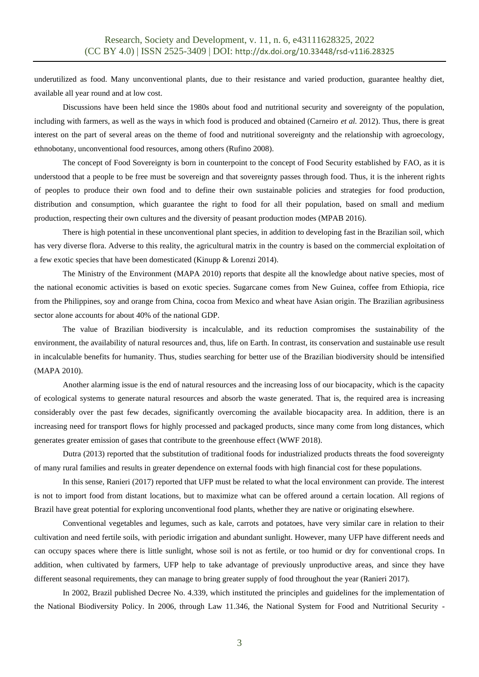underutilized as food. Many unconventional plants, due to their resistance and varied production, guarantee healthy diet, available all year round and at low cost.

Discussions have been held since the 1980s about food and nutritional security and sovereignty of the population, including with farmers, as well as the ways in which food is produced and obtained (Carneiro *et al.* 2012). Thus, there is great interest on the part of several areas on the theme of food and nutritional sovereignty and the relationship with agroecology, ethnobotany, unconventional food resources, among others (Rufino 2008).

The concept of Food Sovereignty is born in counterpoint to the concept of Food Security established by FAO, as it is understood that a people to be free must be sovereign and that sovereignty passes through food. Thus, it is the inherent rights of peoples to produce their own food and to define their own sustainable policies and strategies for food production, distribution and consumption, which guarantee the right to food for all their population, based on small and medium production, respecting their own cultures and the diversity of peasant production modes (MPAB 2016).

There is high potential in these unconventional plant species, in addition to developing fast in the Brazilian soil, which has very diverse flora. Adverse to this reality, the agricultural matrix in the country is based on the commercial exploitation of a few exotic species that have been domesticated (Kinupp & Lorenzi 2014).

The Ministry of the Environment (MAPA 2010) reports that despite all the knowledge about native species, most of the national economic activities is based on exotic species. Sugarcane comes from New Guinea, coffee from Ethiopia, rice from the Philippines, soy and orange from China, cocoa from Mexico and wheat have Asian origin. The Brazilian agribusiness sector alone accounts for about 40% of the national GDP.

The value of Brazilian biodiversity is incalculable, and its reduction compromises the sustainability of the environment, the availability of natural resources and, thus, life on Earth. In contrast, its conservation and sustainable use result in incalculable benefits for humanity. Thus, studies searching for better use of the Brazilian biodiversity should be intensified (MAPA 2010).

Another alarming issue is the end of natural resources and the increasing loss of our biocapacity, which is the capacity of ecological systems to generate natural resources and absorb the waste generated. That is, the required area is increasing considerably over the past few decades, significantly overcoming the available biocapacity area. In addition, there is an increasing need for transport flows for highly processed and packaged products, since many come from long distances, which generates greater emission of gases that contribute to the greenhouse effect (WWF 2018).

Dutra (2013) reported that the substitution of traditional foods for industrialized products threats the food sovereignty of many rural families and results in greater dependence on external foods with high financial cost for these populations.

In this sense, Ranieri (2017) reported that UFP must be related to what the local environment can provide. The interest is not to import food from distant locations, but to maximize what can be offered around a certain location. All regions of Brazil have great potential for exploring unconventional food plants, whether they are native or originating elsewhere.

Conventional vegetables and legumes, such as kale, carrots and potatoes, have very similar care in relation to their cultivation and need fertile soils, with periodic irrigation and abundant sunlight. However, many UFP have different needs and can occupy spaces where there is little sunlight, whose soil is not as fertile, or too humid or dry for conventional crops. In addition, when cultivated by farmers, UFP help to take advantage of previously unproductive areas, and since they have different seasonal requirements, they can manage to bring greater supply of food throughout the year (Ranieri 2017).

In 2002, Brazil published Decree No. 4.339, which instituted the principles and guidelines for the implementation of the National Biodiversity Policy. In 2006, through Law 11.346, the National System for Food and Nutritional Security -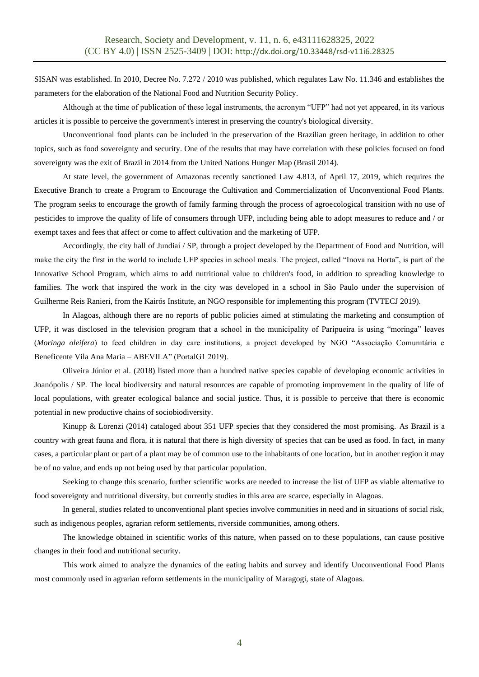SISAN was established. In 2010, Decree No. 7.272 / 2010 was published, which regulates Law No. 11.346 and establishes the parameters for the elaboration of the National Food and Nutrition Security Policy.

Although at the time of publication of these legal instruments, the acronym "UFP" had not yet appeared, in its various articles it is possible to perceive the government's interest in preserving the country's biological diversity.

Unconventional food plants can be included in the preservation of the Brazilian green heritage, in addition to other topics, such as food sovereignty and security. One of the results that may have correlation with these policies focused on food sovereignty was the exit of Brazil in 2014 from the United Nations Hunger Map (Brasil 2014).

At state level, the government of Amazonas recently sanctioned Law 4.813, of April 17, 2019, which requires the Executive Branch to create a Program to Encourage the Cultivation and Commercialization of Unconventional Food Plants. The program seeks to encourage the growth of family farming through the process of agroecological transition with no use of pesticides to improve the quality of life of consumers through UFP, including being able to adopt measures to reduce and / or exempt taxes and fees that affect or come to affect cultivation and the marketing of UFP.

Accordingly, the city hall of Jundiaí / SP, through a project developed by the Department of Food and Nutrition, will make the city the first in the world to include UFP species in school meals. The project, called "Inova na Horta", is part of the Innovative School Program, which aims to add nutritional value to children's food, in addition to spreading knowledge to families. The work that inspired the work in the city was developed in a school in São Paulo under the supervision of Guilherme Reis Ranieri, from the Kairós Institute, an NGO responsible for implementing this program (TVTECJ 2019).

In Alagoas, although there are no reports of public policies aimed at stimulating the marketing and consumption of UFP, it was disclosed in the television program that a school in the municipality of Paripueira is using "moringa" leaves (*Moringa oleifera*) to feed children in day care institutions, a project developed by NGO "Associação Comunitária e Beneficente Vila Ana Maria – ABEVILA" (PortalG1 2019).

Oliveira Júnior et al. (2018) listed more than a hundred native species capable of developing economic activities in Joanópolis / SP. The local biodiversity and natural resources are capable of promoting improvement in the quality of life of local populations, with greater ecological balance and social justice. Thus, it is possible to perceive that there is economic potential in new productive chains of sociobiodiversity.

Kinupp & Lorenzi (2014) cataloged about 351 UFP species that they considered the most promising. As Brazil is a country with great fauna and flora, it is natural that there is high diversity of species that can be used as food. In fact, in many cases, a particular plant or part of a plant may be of common use to the inhabitants of one location, but in another region it may be of no value, and ends up not being used by that particular population.

Seeking to change this scenario, further scientific works are needed to increase the list of UFP as viable alternative to food sovereignty and nutritional diversity, but currently studies in this area are scarce, especially in Alagoas.

In general, studies related to unconventional plant species involve communities in need and in situations of social risk, such as indigenous peoples, agrarian reform settlements, riverside communities, among others.

The knowledge obtained in scientific works of this nature, when passed on to these populations, can cause positive changes in their food and nutritional security.

This work aimed to analyze the dynamics of the eating habits and survey and identify Unconventional Food Plants most commonly used in agrarian reform settlements in the municipality of Maragogi, state of Alagoas.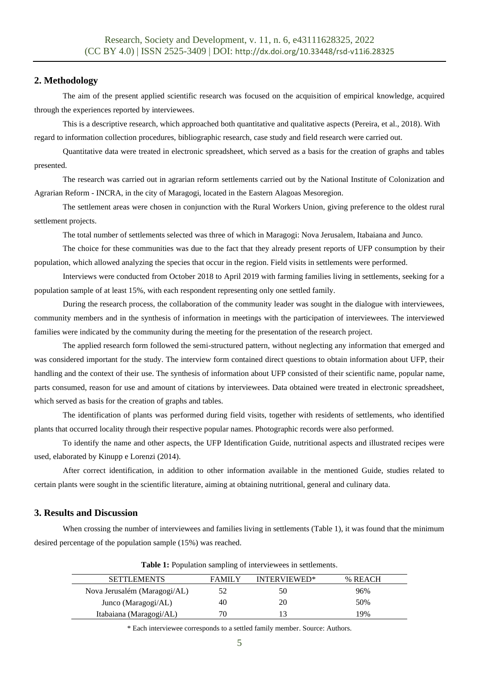## **2. Methodology**

The aim of the present applied scientific research was focused on the acquisition of empirical knowledge, acquired through the experiences reported by interviewees.

This is a descriptive research, which approached both quantitative and qualitative aspects (Pereira, et al., 2018). With regard to information collection procedures, bibliographic research, case study and field research were carried out.

Quantitative data were treated in electronic spreadsheet, which served as a basis for the creation of graphs and tables presented.

The research was carried out in agrarian reform settlements carried out by the National Institute of Colonization and Agrarian Reform - INCRA, in the city of Maragogi, located in the Eastern Alagoas Mesoregion.

The settlement areas were chosen in conjunction with the Rural Workers Union, giving preference to the oldest rural settlement projects.

The total number of settlements selected was three of which in Maragogi: Nova Jerusalem, Itabaiana and Junco.

The choice for these communities was due to the fact that they already present reports of UFP consumption by their population, which allowed analyzing the species that occur in the region. Field visits in settlements were performed.

Interviews were conducted from October 2018 to April 2019 with farming families living in settlements, seeking for a population sample of at least 15%, with each respondent representing only one settled family.

During the research process, the collaboration of the community leader was sought in the dialogue with interviewees, community members and in the synthesis of information in meetings with the participation of interviewees. The interviewed families were indicated by the community during the meeting for the presentation of the research project.

The applied research form followed the semi-structured pattern, without neglecting any information that emerged and was considered important for the study. The interview form contained direct questions to obtain information about UFP, their handling and the context of their use. The synthesis of information about UFP consisted of their scientific name, popular name, parts consumed, reason for use and amount of citations by interviewees. Data obtained were treated in electronic spreadsheet, which served as basis for the creation of graphs and tables.

The identification of plants was performed during field visits, together with residents of settlements, who identified plants that occurred locality through their respective popular names. Photographic records were also performed.

To identify the name and other aspects, the UFP Identification Guide, nutritional aspects and illustrated recipes were used, elaborated by Kinupp e Lorenzi (2014).

After correct identification, in addition to other information available in the mentioned Guide, studies related to certain plants were sought in the scientific literature, aiming at obtaining nutritional, general and culinary data.

## **3. Results and Discussion**

When crossing the number of interviewees and families living in settlements (Table 1), it was found that the minimum desired percentage of the population sample (15%) was reached.

| <b>SETTLEMENTS</b>           | <b>FAMILY</b> | INTERVIEWED* | % REACH |
|------------------------------|---------------|--------------|---------|
| Nova Jerusalém (Maragogi/AL) |               | 50           | 96%     |
| Junco (Maragogi/AL)          | 40            | 20           | 50%     |
| Itabaiana (Maragogi/AL)      | 70.           |              | 19%     |
|                              |               |              |         |

**Table 1:** Population sampling of interviewees in settlements.

\* Each interviewee corresponds to a settled family member. Source: Authors.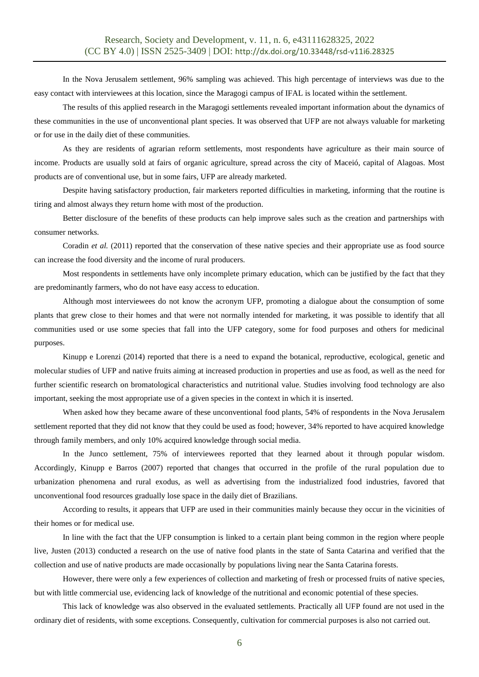In the Nova Jerusalem settlement, 96% sampling was achieved. This high percentage of interviews was due to the easy contact with interviewees at this location, since the Maragogi campus of IFAL is located within the settlement.

The results of this applied research in the Maragogi settlements revealed important information about the dynamics of these communities in the use of unconventional plant species. It was observed that UFP are not always valuable for marketing or for use in the daily diet of these communities.

As they are residents of agrarian reform settlements, most respondents have agriculture as their main source of income. Products are usually sold at fairs of organic agriculture, spread across the city of Maceió, capital of Alagoas. Most products are of conventional use, but in some fairs, UFP are already marketed.

Despite having satisfactory production, fair marketers reported difficulties in marketing, informing that the routine is tiring and almost always they return home with most of the production.

Better disclosure of the benefits of these products can help improve sales such as the creation and partnerships with consumer networks.

Coradin *et al.* (2011) reported that the conservation of these native species and their appropriate use as food source can increase the food diversity and the income of rural producers.

Most respondents in settlements have only incomplete primary education, which can be justified by the fact that they are predominantly farmers, who do not have easy access to education.

Although most interviewees do not know the acronym UFP, promoting a dialogue about the consumption of some plants that grew close to their homes and that were not normally intended for marketing, it was possible to identify that all communities used or use some species that fall into the UFP category, some for food purposes and others for medicinal purposes.

Kinupp e Lorenzi (2014) reported that there is a need to expand the botanical, reproductive, ecological, genetic and molecular studies of UFP and native fruits aiming at increased production in properties and use as food, as well as the need for further scientific research on bromatological characteristics and nutritional value. Studies involving food technology are also important, seeking the most appropriate use of a given species in the context in which it is inserted.

When asked how they became aware of these unconventional food plants, 54% of respondents in the Nova Jerusalem settlement reported that they did not know that they could be used as food; however, 34% reported to have acquired knowledge through family members, and only 10% acquired knowledge through social media.

In the Junco settlement, 75% of interviewees reported that they learned about it through popular wisdom. Accordingly, Kinupp e Barros (2007) reported that changes that occurred in the profile of the rural population due to urbanization phenomena and rural exodus, as well as advertising from the industrialized food industries, favored that unconventional food resources gradually lose space in the daily diet of Brazilians.

According to results, it appears that UFP are used in their communities mainly because they occur in the vicinities of their homes or for medical use.

In line with the fact that the UFP consumption is linked to a certain plant being common in the region where people live, Justen (2013) conducted a research on the use of native food plants in the state of Santa Catarina and verified that the collection and use of native products are made occasionally by populations living near the Santa Catarina forests.

However, there were only a few experiences of collection and marketing of fresh or processed fruits of native species, but with little commercial use, evidencing lack of knowledge of the nutritional and economic potential of these species.

This lack of knowledge was also observed in the evaluated settlements. Practically all UFP found are not used in the ordinary diet of residents, with some exceptions. Consequently, cultivation for commercial purposes is also not carried out.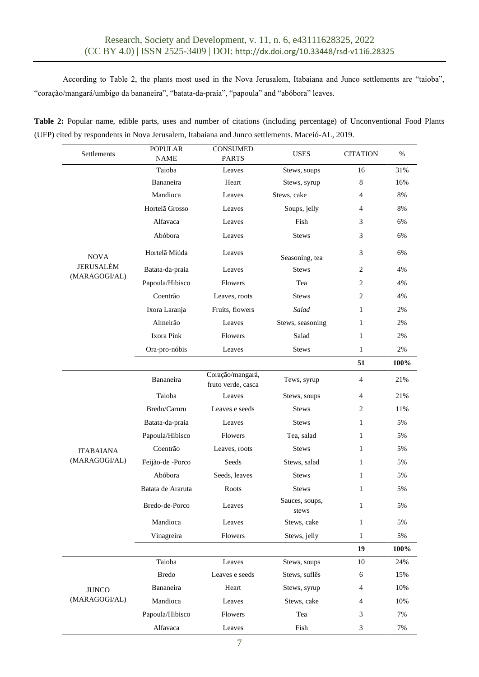According to Table 2, the plants most used in the Nova Jerusalem, Itabaiana and Junco settlements are "taioba", "coração/mangará/umbigo da bananeira", "batata-da-praia", "papoula" and "abóbora" leaves.

| Table 2: Popular name, edible parts, uses and number of citations (including percentage) of Unconventional Food Plants |  |  |  |  |
|------------------------------------------------------------------------------------------------------------------------|--|--|--|--|
| (UFP) cited by respondents in Nova Jerusalem, Itabaiana and Junco settlements. Maceió-AL, 2019.                        |  |  |  |  |

| Settlements                       | <b>POPULAR</b><br><b>NAME</b> | <b>CONSUMED</b><br><b>PARTS</b>        | <b>USES</b>             | <b>CITATION</b> | %     |
|-----------------------------------|-------------------------------|----------------------------------------|-------------------------|-----------------|-------|
|                                   | Taioba                        | Leaves                                 | Stews, soups            | 16              | 31%   |
|                                   | Bananeira                     | Heart                                  | Stews, syrup            | 8               | 16%   |
|                                   | Mandioca                      | Leaves                                 | Stews, cake             | $\overline{4}$  | 8%    |
|                                   | Hortelã Grosso                | Leaves                                 | Soups, jelly            | 4               | 8%    |
|                                   | Alfavaca                      | Leaves                                 | Fish                    | 3               | 6%    |
|                                   | Abóbora                       | Leaves                                 | <b>Stews</b>            | 3               | 6%    |
| <b>NOVA</b>                       | Hortelã Miúda                 | Leaves                                 | Seasoning, tea          | 3               | 6%    |
| <b>JERUSALÉM</b><br>(MARAGOGI/AL) | Batata-da-praia               | <b>Stews</b><br>Leaves                 |                         | 2               | 4%    |
|                                   | Papoula/Hibisco               | Flowers<br>Tea                         |                         | 2               | 4%    |
|                                   | Coentrão                      | Leaves, roots<br><b>Stews</b>          |                         | 2               | 4%    |
|                                   | Ixora Laranja                 | Fruits, flowers<br>Salad               |                         | 1               | 2%    |
|                                   | Almeirão                      | Leaves                                 | Stews, seasoning        | 1               | 2%    |
|                                   | Ixora Pink                    | Flowers                                | Salad                   | 1               | 2%    |
|                                   | Ora-pro-nóbis                 | Leaves                                 | <b>Stews</b>            | $\mathbf{1}$    | 2%    |
|                                   |                               |                                        |                         | 51              | 100%  |
|                                   | Bananeira                     | Coração/mangará,<br>fruto verde, casca | Tews, syrup             | 4               | 21%   |
|                                   | Taioba                        | Leaves                                 | Stews, soups            | 4               | 21%   |
|                                   | Bredo/Caruru                  | Leaves e seeds                         | <b>Stews</b>            | 2               | 11%   |
|                                   | Batata-da-praia               | Leaves                                 | <b>Stews</b>            | $\mathbf{1}$    | 5%    |
|                                   | Papoula/Hibisco               | Flowers                                | Tea, salad              | $\mathbf{1}$    | 5%    |
| <b>ITABAIANA</b>                  | Coentrão                      | Leaves, roots                          | <b>Stews</b>            | $\mathbf{1}$    | 5%    |
| (MARAGOGI/AL)                     | Feijão-de -Porco              | Seeds                                  | Stews, salad            | 1               | 5%    |
|                                   | Abóbora                       | Seeds, leaves                          | <b>Stews</b>            | $\mathbf{1}$    | 5%    |
|                                   | Batata de Araruta             | Roots                                  | <b>Stews</b>            | 1               | 5%    |
|                                   | Bredo-de-Porco                | Leaves                                 | Sauces, soups,<br>stews | 1               | $5\%$ |
|                                   | Mandioca                      | Leaves                                 | Stews, cake             | $\mathbf{1}$    | 5%    |
|                                   | Vinagreira                    | Flowers                                | Stews, jelly            | $\mathbf{1}$    | 5%    |
|                                   |                               |                                        |                         | 19              | 100%  |
| <b>JUNCO</b><br>(MARAGOGI/AL)     | Taioba                        | Leaves                                 | Stews, soups            | 10              | 24%   |
|                                   | <b>Bredo</b>                  | Leaves e seeds                         | Stews, suflês           | 6               | 15%   |
|                                   | Bananeira                     | Heart                                  | Stews, syrup            | 4               | 10%   |
|                                   | Mandioca                      | Leaves                                 | Stews, cake             | 4               | 10%   |
|                                   | Papoula/Hibisco               |                                        | Tea                     | 3               | 7%    |
|                                   | Alfavaca                      | Leaves                                 | Fish                    | 3               | 7%    |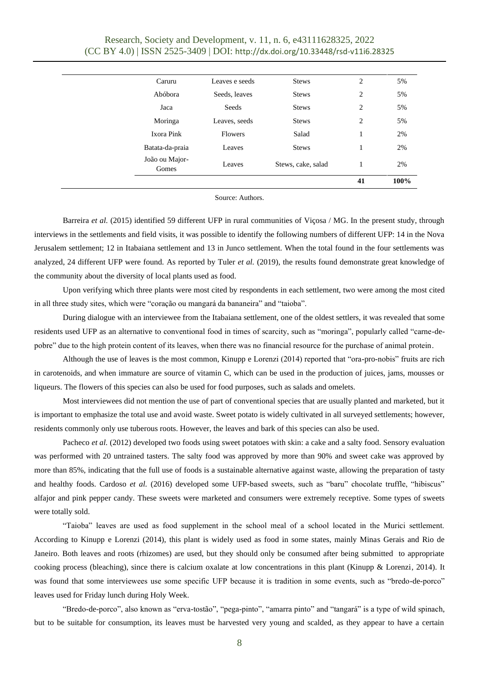|                         |                |                    | 41             | 100% |
|-------------------------|----------------|--------------------|----------------|------|
| João ou Major-<br>Gomes | Leaves         | Stews, cake, salad | 1              | 2%   |
| Batata-da-praia         | Leaves         | <b>Stews</b>       | 1              | 2%   |
| Ixora Pink              | <b>Flowers</b> | Salad              |                | 2%   |
| Moringa                 | Leaves, seeds  | <b>Stews</b>       | 2              | 5%   |
| Jaca                    | Seeds          | <b>Stews</b>       | $\overline{c}$ | 5%   |
| Abóbora                 | Seeds, leaves  | <b>Stews</b>       | $\overline{c}$ | 5%   |
| Caruru                  | Leaves e seeds | <b>Stews</b>       | $\overline{c}$ | 5%   |
|                         |                |                    |                |      |

Source: Authors.

Barreira *et al.* (2015) identified 59 different UFP in rural communities of Viçosa / MG. In the present study, through interviews in the settlements and field visits, it was possible to identify the following numbers of different UFP: 14 in the Nova Jerusalem settlement; 12 in Itabaiana settlement and 13 in Junco settlement. When the total found in the four settlements was analyzed, 24 different UFP were found. As reported by Tuler *et al.* (2019), the results found demonstrate great knowledge of the community about the diversity of local plants used as food.

Upon verifying which three plants were most cited by respondents in each settlement, two were among the most cited in all three study sites, which were "coração ou mangará da bananeira" and "taioba".

During dialogue with an interviewee from the Itabaiana settlement, one of the oldest settlers, it was revealed that some residents used UFP as an alternative to conventional food in times of scarcity, such as "moringa", popularly called "carne-depobre" due to the high protein content of its leaves, when there was no financial resource for the purchase of animal protein.

Although the use of leaves is the most common, Kinupp e Lorenzi (2014) reported that "ora-pro-nobis" fruits are rich in carotenoids, and when immature are source of vitamin C, which can be used in the production of juices, jams, mousses or liqueurs. The flowers of this species can also be used for food purposes, such as salads and omelets.

Most interviewees did not mention the use of part of conventional species that are usually planted and marketed, but it is important to emphasize the total use and avoid waste. Sweet potato is widely cultivated in all surveyed settlements; however, residents commonly only use tuberous roots. However, the leaves and bark of this species can also be used.

Pacheco *et al.* (2012) developed two foods using sweet potatoes with skin: a cake and a salty food. Sensory evaluation was performed with 20 untrained tasters. The salty food was approved by more than 90% and sweet cake was approved by more than 85%, indicating that the full use of foods is a sustainable alternative against waste, allowing the preparation of tasty and healthy foods. Cardoso *et al.* (2016) developed some UFP-based sweets, such as "baru" chocolate truffle, "hibiscus" alfajor and pink pepper candy. These sweets were marketed and consumers were extremely receptive. Some types of sweets were totally sold.

"Taioba" leaves are used as food supplement in the school meal of a school located in the Murici settlement. According to Kinupp e Lorenzi (2014), this plant is widely used as food in some states, mainly Minas Gerais and Rio de Janeiro. Both leaves and roots (rhizomes) are used, but they should only be consumed after being submitted to appropriate cooking process (bleaching), since there is calcium oxalate at low concentrations in this plant (Kinupp & Lorenzi, 2014). It was found that some interviewees use some specific UFP because it is tradition in some events, such as "bredo-de-porco" leaves used for Friday lunch during Holy Week.

"Bredo-de-porco", also known as "erva-tostão", "pega-pinto", "amarra pinto" and "tangará" is a type of wild spinach, but to be suitable for consumption, its leaves must be harvested very young and scalded, as they appear to have a certain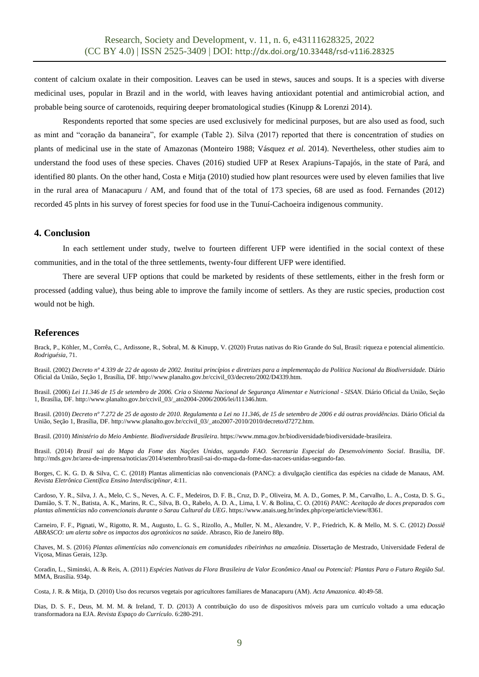content of calcium oxalate in their composition. Leaves can be used in stews, sauces and soups. It is a species with diverse medicinal uses, popular in Brazil and in the world, with leaves having antioxidant potential and antimicrobial action, and probable being source of carotenoids, requiring deeper bromatological studies (Kinupp & Lorenzi 2014).

Respondents reported that some species are used exclusively for medicinal purposes, but are also used as food, such as mint and "coração da bananeira", for example (Table 2). Silva (2017) reported that there is concentration of studies on plants of medicinal use in the state of Amazonas (Monteiro 1988; Vásquez *et al.* 2014). Nevertheless, other studies aim to understand the food uses of these species. Chaves (2016) studied UFP at Resex Arapiuns-Tapajós, in the state of Pará, and identified 80 plants. On the other hand, Costa e Mitja (2010) studied how plant resources were used by eleven families that live in the rural area of Manacapuru / AM, and found that of the total of 173 species, 68 are used as food. Fernandes (2012) recorded 45 plnts in his survey of forest species for food use in the Tunuí-Cachoeira indigenous community.

#### **4. Conclusion**

In each settlement under study, twelve to fourteen different UFP were identified in the social context of these communities, and in the total of the three settlements, twenty-four different UFP were identified.

There are several UFP options that could be marketed by residents of these settlements, either in the fresh form or processed (adding value), thus being able to improve the family income of settlers. As they are rustic species, production cost would not be high.

## **References**

Brack, P., Köhler, M., Corrêa, C., Ardissone, R., Sobral, M. & Kinupp, V. (2020) Frutas nativas do Rio Grande do Sul, Brasil: riqueza e potencial alimentício. *Rodriguésia,* 71.

Brasil. (2002) *Decreto nº 4.339 de 22 de agosto de 2002. Institui princípios e diretrizes para a implementação da Política Nacional da Biodiversidade.* Diário Oficial da União, Seção 1, Brasília, DF[. http://www.planalto.gov.br/ccivil\\_03/decreto/2002/D4339.htm.](http://www.planalto.gov.br/ccivil_03/decreto/2002/D4339.htm)

Brasil. (2006) *Lei 11.346 de 15 de setembro de 2006. Cria o Sistema Nacional de Segurança Alimentar e Nutricional - SISAN.* Diário Oficial da União, Seção 1, Brasília, DF[. http://www.planalto.gov.br/ccivil\\_03/\\_ato2004-2006/2006/lei/l11346.htm.](http://www.planalto.gov.br/ccivil_03/_ato2004-2006/2006/lei/l11346.htm)

Brasil. (2010) *Decreto nº 7.272 de 25 de agosto de 2010. Regulamenta a Lei no 11.346, de 15 de setembro de 2006 e dá outras providências.* Diário Oficial da União, Seção 1, Brasília, DF. [http://www.planalto.gov.br/ccivil\\_03/\\_ato2007-2010/2010/decreto/d7272.htm.](http://www.planalto.gov.br/ccivil_03/_ato2007-2010/2010/decreto/d7272.htm)

Brasil. (2010) *Ministério do Meio Ambiente. Biodiversidade Brasileira*[. https://www.mma.gov.br/biodiversidade/biodiversidade-brasileira.](https://www.mma.gov.br/biodiversidade/biodiversidade-brasileira)

Brasil. (2014) *Brasil sai do Mapa da Fome das Nações Unidas, segundo FAO. Secretaria Especial do Desenvolvimento Social*. Brasília, DF. [http://mds.gov.br/area-de-imprensa/noticias/2014/setembro/brasil-sai-do-mapa-da-fome-das-nacoes-unidas-segundo-fao.](http://mds.gov.br/area-de-imprensa/noticias/2014/setembro/brasil-sai-do-mapa-da-fome-das-nacoes-unidas-segundo-fao)

Borges, C. K. G. D. & Silva, C. C. (2018) Plantas alimentícias não convencionais (PANC): a divulgação científica das espécies na cidade de Manaus, AM. *Revista Eletrônica Científica Ensino Interdisciplinar,* 4:11.

Cardoso, Y. R., Silva, J. A., Melo, C. S., Neves, A. C. F., Medeiros, D. F. B., Cruz, D. P., Oliveira, M. A. D., Gomes, P. M., Carvalho, L. A., Costa, D. S. G., Damião, S. T. N., Batista, A. K., Marins, R. C., Silva, B. O., Rabelo, A. D. A., Lima, I. V. & Bolina, C. O. (2016) *PANC: Aceitação de doces preparados com plantas alimentícias não convencionais durante o Sarau Cultural da UEG*. https://www.anais.ueg.br/index.php/cepe/article/view/8361.

Carneiro, F. F., Pignati, W., Rigotto, R. M., Augusto, L. G. S., Rizollo, A., Muller, N. M., Alexandre, V. P., Friedrich, K. & Mello, M. S. C. (2012) *Dossiê ABRASCO: um alerta sobre os impactos dos agrotóxicos na saúde*. Abrasco, Rio de Janeiro 88p.

Chaves, M. S. (2016) *Plantas alimentícias não convencionais em comunidades ribeirinhas na amazônia*. Dissertação de Mestrado, Universidade Federal de Viçosa, Minas Gerais, 123p.

Coradin, L., Siminski, A. & Reis, A. (2011) *Espécies Nativas da Flora Brasileira de Valor Econômico Atual ou Potencial: Plantas Para o Futuro Região Sul*. MMA, Brasília. 934p.

Costa, J. R. & Mitja, D. (2010) Uso dos recursos vegetais por agricultores familiares de Manacapuru (AM). *Acta Amazonica.* 40:49-58.

Dias, D. S. F., Deus, M. M. M. & Ireland, T. D. (2013) A contribuição do uso de dispositivos móveis para um currículo voltado a uma educação transformadora na EJA. *Revista Espaço do Currículo*. 6:280-291.